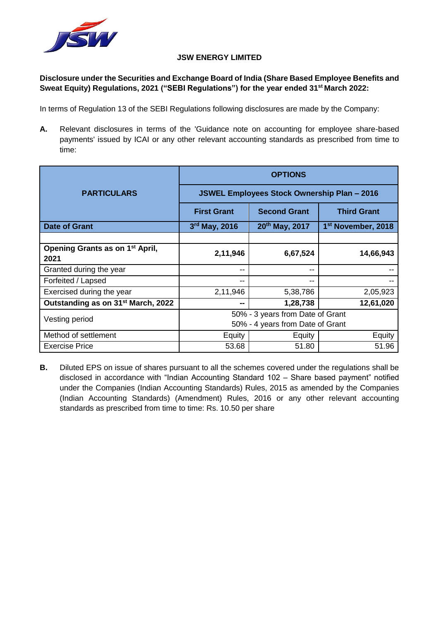

#### **JSW ENERGY LIMITED**

# **Disclosure under the Securities and Exchange Board of India (Share Based Employee Benefits and Sweat Equity) Regulations, 2021 ("SEBI Regulations") for the year ended 31st March 2022:**

In terms of Regulation 13 of the SEBI Regulations following disclosures are made by the Company:

**A.** Relevant disclosures in terms of the 'Guidance note on accounting for employee share-based payments' issued by ICAI or any other relevant accounting standards as prescribed from time to time:

|                                                     | <b>OPTIONS</b>                                     |                            |                                |  |
|-----------------------------------------------------|----------------------------------------------------|----------------------------|--------------------------------|--|
| <b>PARTICULARS</b>                                  | <b>JSWEL Employees Stock Ownership Plan - 2016</b> |                            |                                |  |
|                                                     | <b>First Grant</b>                                 | <b>Second Grant</b>        | <b>Third Grant</b>             |  |
| <b>Date of Grant</b>                                | $3rd$ May, 2016                                    | 20 <sup>th</sup> May, 2017 | 1 <sup>st</sup> November, 2018 |  |
|                                                     |                                                    |                            |                                |  |
| Opening Grants as on 1 <sup>st</sup> April,<br>2021 | 2,11,946                                           | 6,67,524                   | 14,66,943                      |  |
| Granted during the year                             | --                                                 | --                         |                                |  |
| Forfeited / Lapsed                                  | --                                                 | --                         |                                |  |
| Exercised during the year                           | 2,11,946                                           | 5,38,786                   | 2,05,923                       |  |
| Outstanding as on 31 <sup>st</sup> March, 2022      | --                                                 | 1,28,738                   | 12,61,020                      |  |
| Vesting period                                      | 50% - 3 years from Date of Grant                   |                            |                                |  |
|                                                     | 50% - 4 years from Date of Grant                   |                            |                                |  |
| Method of settlement                                | Equity                                             | Equity                     | Equity                         |  |
| <b>Exercise Price</b>                               | 53.68                                              | 51.80                      | 51.96                          |  |

**B.** Diluted EPS on issue of shares pursuant to all the schemes covered under the regulations shall be disclosed in accordance with "Indian Accounting Standard 102 – Share based payment" notified under the Companies (Indian Accounting Standards) Rules, 2015 as amended by the Companies (Indian Accounting Standards) (Amendment) Rules, 2016 or any other relevant accounting standards as prescribed from time to time: Rs. 10.50 per share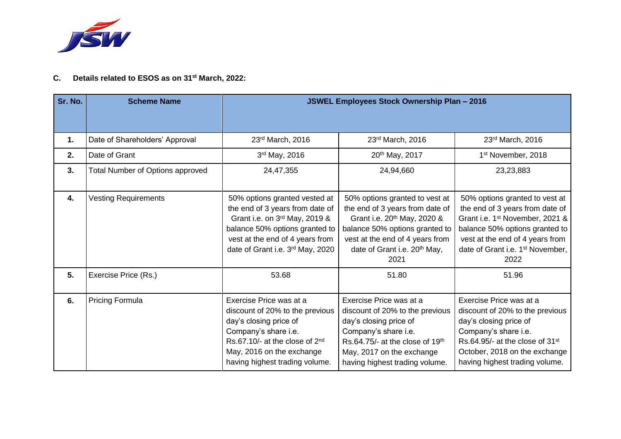

# **C. Details related to ESOS as on 31st March, 2022:**

| Sr. No.                                                                                                                                                                                                                                       | <b>Scheme Name</b>               | <b>JSWEL Employees Stock Ownership Plan - 2016</b>                                                                                                                                                             |                                                                                                                                                                                                                                       |                                                                                                                                                                                                                                               |
|-----------------------------------------------------------------------------------------------------------------------------------------------------------------------------------------------------------------------------------------------|----------------------------------|----------------------------------------------------------------------------------------------------------------------------------------------------------------------------------------------------------------|---------------------------------------------------------------------------------------------------------------------------------------------------------------------------------------------------------------------------------------|-----------------------------------------------------------------------------------------------------------------------------------------------------------------------------------------------------------------------------------------------|
| 1.                                                                                                                                                                                                                                            | Date of Shareholders' Approval   | 23rd March, 2016                                                                                                                                                                                               | 23rd March, 2016                                                                                                                                                                                                                      | 23rd March, 2016                                                                                                                                                                                                                              |
| 2.                                                                                                                                                                                                                                            | Date of Grant                    | 3rd May, 2016                                                                                                                                                                                                  | 20th May, 2017                                                                                                                                                                                                                        | 1 <sup>st</sup> November, 2018                                                                                                                                                                                                                |
| 3.                                                                                                                                                                                                                                            | Total Number of Options approved | 24,47,355                                                                                                                                                                                                      | 24,94,660                                                                                                                                                                                                                             | 23,23,883                                                                                                                                                                                                                                     |
| 4.                                                                                                                                                                                                                                            | <b>Vesting Requirements</b>      | 50% options granted vested at<br>the end of 3 years from date of<br>Grant i.e. on 3rd May, 2019 &<br>balance 50% options granted to<br>vest at the end of 4 years from<br>date of Grant i.e. 3rd May, 2020     | 50% options granted to vest at<br>the end of 3 years from date of<br>Grant i.e. 20 <sup>th</sup> May, 2020 &<br>balance 50% options granted to<br>vest at the end of 4 years from<br>date of Grant i.e. 20 <sup>th</sup> May,<br>2021 | 50% options granted to vest at<br>the end of 3 years from date of<br>Grant i.e. 1 <sup>st</sup> November, 2021 &<br>balance 50% options granted to<br>vest at the end of 4 years from<br>date of Grant i.e. 1 <sup>st</sup> November,<br>2022 |
| 5.                                                                                                                                                                                                                                            | Exercise Price (Rs.)             | 53.68                                                                                                                                                                                                          | 51.80                                                                                                                                                                                                                                 | 51.96                                                                                                                                                                                                                                         |
| <b>Pricing Formula</b><br>6.<br>Exercise Price was at a<br>discount of 20% to the previous<br>day's closing price of<br>Company's share i.e.<br>Rs.67.10/- at the close of 2nd<br>May, 2016 on the exchange<br>having highest trading volume. |                                  | Exercise Price was at a<br>discount of 20% to the previous<br>day's closing price of<br>Company's share i.e.<br>Rs.64.75/- at the close of 19th<br>May, 2017 on the exchange<br>having highest trading volume. | Exercise Price was at a<br>discount of 20% to the previous<br>day's closing price of<br>Company's share i.e.<br>Rs.64.95/- at the close of 31 <sup>st</sup><br>October, 2018 on the exchange<br>having highest trading volume.        |                                                                                                                                                                                                                                               |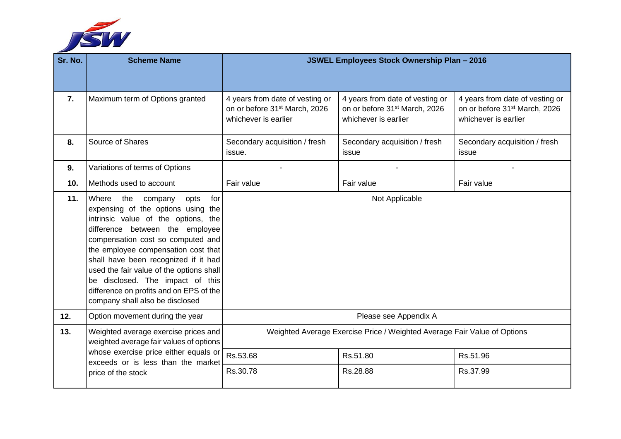

| Sr. No. | <b>Scheme Name</b>                                                                                                                                                                                                                                                                                                                                                                                                                       | <b>JSWEL Employees Stock Ownership Plan - 2016</b>                                                   |                                                                                                      |                                                                                                      |
|---------|------------------------------------------------------------------------------------------------------------------------------------------------------------------------------------------------------------------------------------------------------------------------------------------------------------------------------------------------------------------------------------------------------------------------------------------|------------------------------------------------------------------------------------------------------|------------------------------------------------------------------------------------------------------|------------------------------------------------------------------------------------------------------|
|         |                                                                                                                                                                                                                                                                                                                                                                                                                                          |                                                                                                      |                                                                                                      |                                                                                                      |
| 7.      | Maximum term of Options granted                                                                                                                                                                                                                                                                                                                                                                                                          | 4 years from date of vesting or<br>on or before 31 <sup>st</sup> March, 2026<br>whichever is earlier | 4 years from date of vesting or<br>on or before 31 <sup>st</sup> March, 2026<br>whichever is earlier | 4 years from date of vesting or<br>on or before 31 <sup>st</sup> March, 2026<br>whichever is earlier |
| 8.      | Source of Shares                                                                                                                                                                                                                                                                                                                                                                                                                         | Secondary acquisition / fresh<br>issue.                                                              | Secondary acquisition / fresh<br>issue                                                               | Secondary acquisition / fresh<br>issue                                                               |
| 9.      | Variations of terms of Options                                                                                                                                                                                                                                                                                                                                                                                                           |                                                                                                      |                                                                                                      |                                                                                                      |
| 10.     | Methods used to account                                                                                                                                                                                                                                                                                                                                                                                                                  | Fair value                                                                                           | Fair value                                                                                           | Fair value                                                                                           |
| 11.     | Where<br>the<br>company<br>opts<br>for<br>expensing of the options using the<br>intrinsic value of the options, the<br>difference between the employee<br>compensation cost so computed and<br>the employee compensation cost that<br>shall have been recognized if it had<br>used the fair value of the options shall<br>be disclosed. The impact of this<br>difference on profits and on EPS of the<br>company shall also be disclosed | Not Applicable                                                                                       |                                                                                                      |                                                                                                      |
| 12.     | Option movement during the year                                                                                                                                                                                                                                                                                                                                                                                                          |                                                                                                      | Please see Appendix A                                                                                |                                                                                                      |
| 13.     | Weighted average exercise prices and<br>weighted average fair values of options                                                                                                                                                                                                                                                                                                                                                          | Weighted Average Exercise Price / Weighted Average Fair Value of Options                             |                                                                                                      |                                                                                                      |
|         | whose exercise price either equals or<br>exceeds or is less than the market                                                                                                                                                                                                                                                                                                                                                              | Rs.53.68                                                                                             | Rs.51.80                                                                                             | Rs.51.96                                                                                             |
|         | price of the stock                                                                                                                                                                                                                                                                                                                                                                                                                       | Rs.30.78                                                                                             | Rs.28.88                                                                                             | Rs.37.99                                                                                             |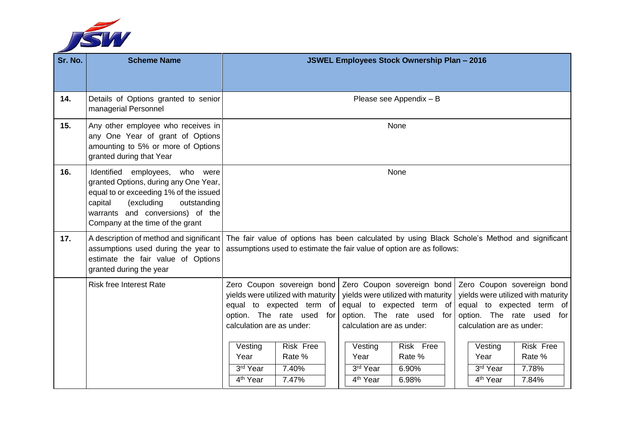

| Sr. No. | <b>Scheme Name</b>                                                                                                                                                                                                                      | <b>JSWEL Employees Stock Ownership Plan - 2016</b>                                                                                                                                                                                                                                                                                                                                                                                                                                                                                                                                                                                                                                                                                                                                             |  |  |
|---------|-----------------------------------------------------------------------------------------------------------------------------------------------------------------------------------------------------------------------------------------|------------------------------------------------------------------------------------------------------------------------------------------------------------------------------------------------------------------------------------------------------------------------------------------------------------------------------------------------------------------------------------------------------------------------------------------------------------------------------------------------------------------------------------------------------------------------------------------------------------------------------------------------------------------------------------------------------------------------------------------------------------------------------------------------|--|--|
| 14.     | Details of Options granted to senior<br>managerial Personnel                                                                                                                                                                            | Please see Appendix - B                                                                                                                                                                                                                                                                                                                                                                                                                                                                                                                                                                                                                                                                                                                                                                        |  |  |
| 15.     | Any other employee who receives in<br>any One Year of grant of Options<br>amounting to 5% or more of Options<br>granted during that Year                                                                                                | None                                                                                                                                                                                                                                                                                                                                                                                                                                                                                                                                                                                                                                                                                                                                                                                           |  |  |
| 16.     | Identified<br>employees, who<br>were<br>granted Options, during any One Year,<br>equal to or exceeding 1% of the issued<br>capital<br>(excluding<br>outstanding<br>warrants and conversions) of the<br>Company at the time of the grant | None                                                                                                                                                                                                                                                                                                                                                                                                                                                                                                                                                                                                                                                                                                                                                                                           |  |  |
| 17.     | assumptions used during the year to<br>estimate the fair value of Options<br>granted during the year                                                                                                                                    | A description of method and significant   The fair value of options has been calculated by using Black Schole's Method and significant<br>assumptions used to estimate the fair value of option are as follows:                                                                                                                                                                                                                                                                                                                                                                                                                                                                                                                                                                                |  |  |
|         | <b>Risk free Interest Rate</b>                                                                                                                                                                                                          | Zero Coupon sovereign bond<br>Zero Coupon sovereign bond<br>Zero Coupon sovereign bond<br>yields were utilized with maturity<br>yields were utilized with maturity<br>yields were utilized with maturity<br>equal to expected term of<br>equal to expected term of<br>equal to expected term of<br>option. The rate used<br>option. The rate used for<br>option. The rate used<br>for<br>for<br>calculation are as under:<br>calculation are as under:<br>calculation are as under:<br>Risk Free<br><b>Risk Free</b><br>Risk Free<br>Vesting<br>Vesting<br>Vesting<br>Rate %<br>Rate %<br>Rate %<br>Year<br>Year<br>Year<br>3rd Year<br>7.40%<br>3rd Year<br>3rd Year<br>7.78%<br>6.90%<br>$\overline{4^{th}}$ Year<br>7.47%<br>4 <sup>th</sup> Year<br>4 <sup>th</sup> Year<br>6.98%<br>7.84% |  |  |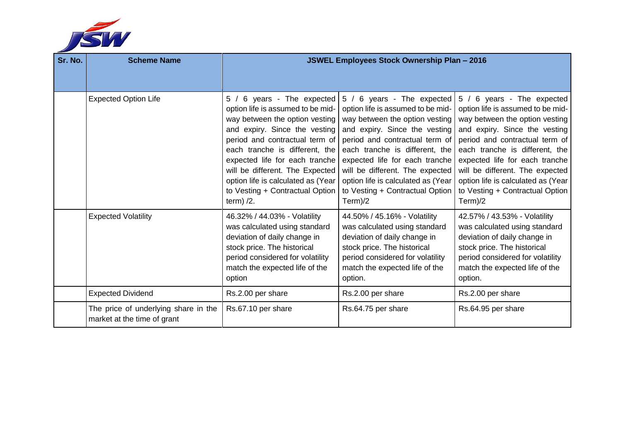

| Sr. No. | <b>Scheme Name</b>                                                  | <b>JSWEL Employees Stock Ownership Plan - 2016</b>                                                                                                                                                                                                                                                                                                                   |                                                                                                                                                                                                                                                                                                                                                                 |                                                                                                                                                                                                                                                                                                                                                                 |
|---------|---------------------------------------------------------------------|----------------------------------------------------------------------------------------------------------------------------------------------------------------------------------------------------------------------------------------------------------------------------------------------------------------------------------------------------------------------|-----------------------------------------------------------------------------------------------------------------------------------------------------------------------------------------------------------------------------------------------------------------------------------------------------------------------------------------------------------------|-----------------------------------------------------------------------------------------------------------------------------------------------------------------------------------------------------------------------------------------------------------------------------------------------------------------------------------------------------------------|
|         |                                                                     |                                                                                                                                                                                                                                                                                                                                                                      |                                                                                                                                                                                                                                                                                                                                                                 |                                                                                                                                                                                                                                                                                                                                                                 |
|         | <b>Expected Option Life</b>                                         | 5 / 6 years - The expected<br>option life is assumed to be mid-<br>way between the option vesting<br>and expiry. Since the vesting<br>period and contractual term of<br>each tranche is different, the<br>expected life for each tranche<br>will be different. The Expected<br>option life is calculated as (Year<br>to Vesting + Contractual Option<br>term) $/2$ . | 5 / 6 years - The expected<br>option life is assumed to be mid-<br>way between the option vesting<br>and expiry. Since the vesting<br>period and contractual term of<br>each tranche is different, the<br>expected life for each tranche<br>will be different. The expected<br>option life is calculated as (Year<br>to Vesting + Contractual Option<br>Term)/2 | 5 / 6 years - The expected<br>option life is assumed to be mid-<br>way between the option vesting<br>and expiry. Since the vesting<br>period and contractual term of<br>each tranche is different, the<br>expected life for each tranche<br>will be different. The expected<br>option life is calculated as (Year<br>to Vesting + Contractual Option<br>Term)/2 |
|         | <b>Expected Volatility</b>                                          | 46.32% / 44.03% - Volatility<br>was calculated using standard<br>deviation of daily change in<br>stock price. The historical<br>period considered for volatility<br>match the expected life of the<br>option                                                                                                                                                         | 44.50% / 45.16% - Volatility<br>was calculated using standard<br>deviation of daily change in<br>stock price. The historical<br>period considered for volatility<br>match the expected life of the<br>option.                                                                                                                                                   | 42.57% / 43.53% - Volatility<br>was calculated using standard<br>deviation of daily change in<br>stock price. The historical<br>period considered for volatility<br>match the expected life of the<br>option.                                                                                                                                                   |
|         | <b>Expected Dividend</b>                                            | Rs.2.00 per share                                                                                                                                                                                                                                                                                                                                                    | Rs.2.00 per share                                                                                                                                                                                                                                                                                                                                               | Rs.2.00 per share                                                                                                                                                                                                                                                                                                                                               |
|         | The price of underlying share in the<br>market at the time of grant | Rs.67.10 per share                                                                                                                                                                                                                                                                                                                                                   | Rs.64.75 per share                                                                                                                                                                                                                                                                                                                                              | Rs.64.95 per share                                                                                                                                                                                                                                                                                                                                              |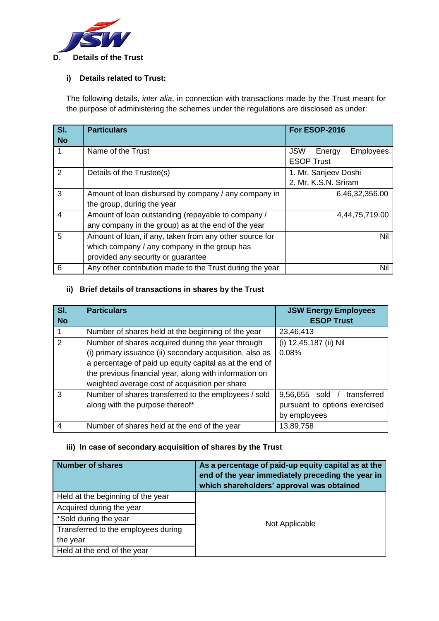

#### **i) Details related to Trust:**

The following details, *inter alia*, in connection with transactions made by the Trust meant for the purpose of administering the schemes under the regulations are disclosed as under:

| SI.<br><b>No</b> | <b>Particulars</b>                                                                                                                            | <b>For ESOP-2016</b>                                          |
|------------------|-----------------------------------------------------------------------------------------------------------------------------------------------|---------------------------------------------------------------|
|                  | Name of the Trust                                                                                                                             | <b>JSW</b><br>Energy<br><b>Employees</b><br><b>ESOP Trust</b> |
| 2                | Details of the Trustee(s)                                                                                                                     | 1. Mr. Sanjeev Doshi<br>2. Mr. K.S.N. Sriram                  |
| 3                | Amount of loan disbursed by company / any company in<br>the group, during the year                                                            | 6,46,32,356.00                                                |
| 4                | Amount of loan outstanding (repayable to company /<br>any company in the group) as at the end of the year                                     | 4,44,75,719.00                                                |
| 5                | Amount of loan, if any, taken from any other source for<br>which company / any company in the group has<br>provided any security or guarantee | Nil                                                           |
| 6                | Any other contribution made to the Trust during the year                                                                                      | Nil                                                           |

#### **ii) Brief details of transactions in shares by the Trust**

| SI.       | <b>Particulars</b>                                       | <b>JSW Energy Employees</b>      |
|-----------|----------------------------------------------------------|----------------------------------|
| <b>No</b> |                                                          | <b>ESOP Trust</b>                |
|           | Number of shares held at the beginning of the year       | 23,46,413                        |
| 2         | Number of shares acquired during the year through        | (i) 12,45,187 (ii) Nil           |
|           | (i) primary issuance (ii) secondary acquisition, also as | 0.08%                            |
|           | a percentage of paid up equity capital as at the end of  |                                  |
|           | the previous financial year, along with information on   |                                  |
|           | weighted average cost of acquisition per share           |                                  |
| 3         | Number of shares transferred to the employees / sold     | $9,56,655$ sold /<br>transferred |
|           | along with the purpose thereof*                          | pursuant to options exercised    |
|           |                                                          | by employees                     |
| 4         | Number of shares held at the end of the year             | 13,89,758                        |

#### **iii) In case of secondary acquisition of shares by the Trust**

| <b>Number of shares</b>             | As a percentage of paid-up equity capital as at the<br>end of the year immediately preceding the year in<br>which shareholders' approval was obtained |
|-------------------------------------|-------------------------------------------------------------------------------------------------------------------------------------------------------|
| Held at the beginning of the year   |                                                                                                                                                       |
| Acquired during the year            |                                                                                                                                                       |
| *Sold during the year               | Not Applicable                                                                                                                                        |
| Transferred to the employees during |                                                                                                                                                       |
| the year                            |                                                                                                                                                       |
| Held at the end of the year         |                                                                                                                                                       |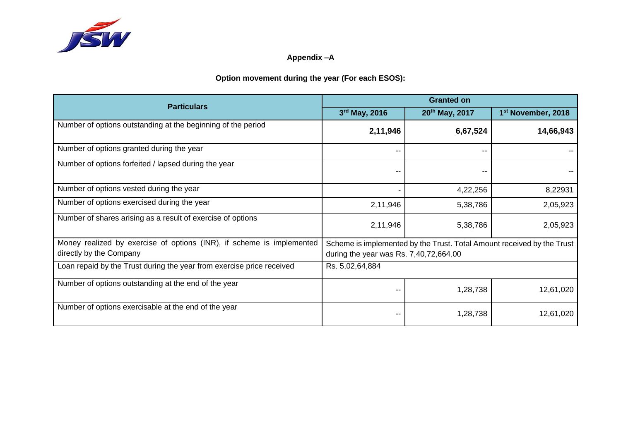

# **Appendix –A**

# **Option movement during the year (For each ESOS):**

| <b>Particulars</b>                                                    |                                        | <b>Granted on</b>                                                      |                                |  |
|-----------------------------------------------------------------------|----------------------------------------|------------------------------------------------------------------------|--------------------------------|--|
|                                                                       | 3rd May, 2016                          | 20th May, 2017                                                         | 1 <sup>st</sup> November, 2018 |  |
| Number of options outstanding at the beginning of the period          | 2,11,946                               | 6,67,524                                                               | 14,66,943                      |  |
| Number of options granted during the year                             | $- -$                                  | --                                                                     |                                |  |
| Number of options forfeited / lapsed during the year                  | --                                     |                                                                        |                                |  |
| Number of options vested during the year                              |                                        | 4,22,256                                                               | 8,22931                        |  |
| Number of options exercised during the year                           | 2,11,946                               | 5,38,786                                                               | 2,05,923                       |  |
| Number of shares arising as a result of exercise of options           | 2,11,946                               | 5,38,786                                                               | 2,05,923                       |  |
| Money realized by exercise of options (INR), if scheme is implemented |                                        | Scheme is implemented by the Trust. Total Amount received by the Trust |                                |  |
| directly by the Company                                               | during the year was Rs. 7,40,72,664.00 |                                                                        |                                |  |
| Loan repaid by the Trust during the year from exercise price received | Rs. 5,02,64,884                        |                                                                        |                                |  |
| Number of options outstanding at the end of the year                  |                                        | 1,28,738                                                               | 12,61,020                      |  |
| Number of options exercisable at the end of the year                  |                                        | 1,28,738                                                               | 12,61,020                      |  |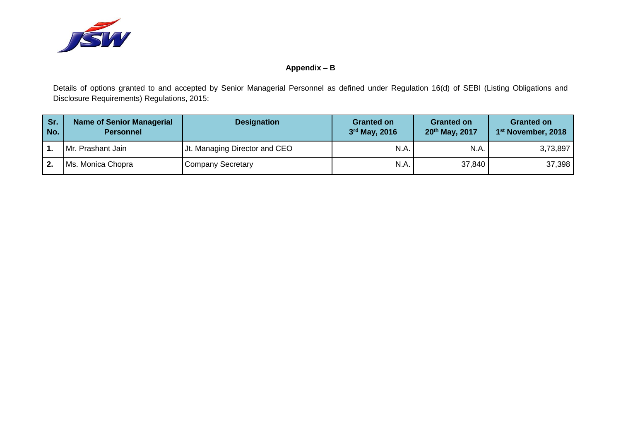

## **Appendix – B**

Details of options granted to and accepted by Senior Managerial Personnel as defined under Regulation 16(d) of SEBI (Listing Obligations and Disclosure Requirements) Regulations, 2015:

| Sr.<br>No. | <b>Name of Senior Managerial</b><br><b>Personnel</b> | <b>Designation</b>            | <b>Granted on</b><br>3rd May, 2016 | <b>Granted on</b><br>$20^{th}$ May, 2017 | <b>Granted on</b><br>1 <sup>st</sup> November, 2018 |
|------------|------------------------------------------------------|-------------------------------|------------------------------------|------------------------------------------|-----------------------------------------------------|
|            | Mr. Prashant Jain                                    | Jt. Managing Director and CEO | N.A.                               | N.A.                                     | 3,73,897                                            |
|            | Ms. Monica Chopra                                    | <b>Company Secretary</b>      | N.A.                               | 37,840                                   | 37,398                                              |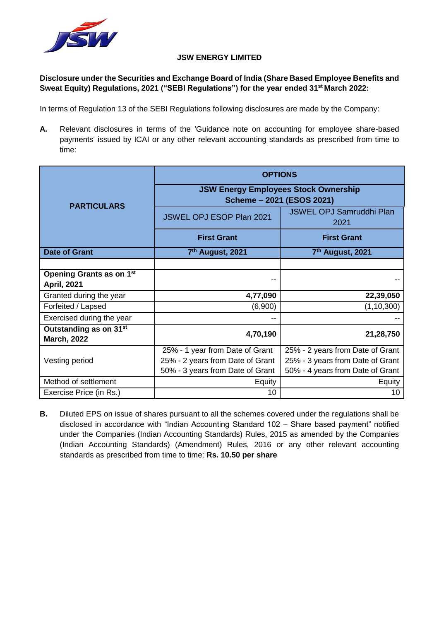

#### **JSW ENERGY LIMITED**

# **Disclosure under the Securities and Exchange Board of India (Share Based Employee Benefits and Sweat Equity) Regulations, 2021 ("SEBI Regulations") for the year ended 31st March 2022:**

In terms of Regulation 13 of the SEBI Regulations following disclosures are made by the Company:

**A.** Relevant disclosures in terms of the 'Guidance note on accounting for employee share-based payments' issued by ICAI or any other relevant accounting standards as prescribed from time to time:

|                                                          | <b>OPTIONS</b>                                                           |                                         |  |
|----------------------------------------------------------|--------------------------------------------------------------------------|-----------------------------------------|--|
| <b>PARTICULARS</b>                                       | <b>JSW Energy Employees Stock Ownership</b><br>Scheme - 2021 (ESOS 2021) |                                         |  |
|                                                          | JSWEL OPJ ESOP Plan 2021                                                 | <b>JSWEL OPJ Samruddhi Plan</b><br>2021 |  |
|                                                          | <b>First Grant</b>                                                       | <b>First Grant</b>                      |  |
| <b>Date of Grant</b>                                     | 7th August, 2021                                                         | 7 <sup>th</sup> August, 2021            |  |
|                                                          |                                                                          |                                         |  |
| <b>Opening Grants as on 1st</b>                          |                                                                          |                                         |  |
| <b>April, 2021</b>                                       |                                                                          |                                         |  |
| Granted during the year                                  | 4,77,090                                                                 | 22,39,050                               |  |
| Forfeited / Lapsed                                       | (6,900)                                                                  | (1, 10, 300)                            |  |
| Exercised during the year                                |                                                                          |                                         |  |
| Outstanding as on 31 <sup>st</sup><br><b>March, 2022</b> | 4,70,190                                                                 | 21,28,750                               |  |
|                                                          | 25% - 1 year from Date of Grant                                          | 25% - 2 years from Date of Grant        |  |
| Vesting period                                           | 25% - 2 years from Date of Grant                                         | 25% - 3 years from Date of Grant        |  |
|                                                          | 50% - 3 years from Date of Grant                                         | 50% - 4 years from Date of Grant        |  |
| Method of settlement                                     | Equity                                                                   | Equity                                  |  |
| Exercise Price (in Rs.)                                  | 10                                                                       | 10                                      |  |

**B.** Diluted EPS on issue of shares pursuant to all the schemes covered under the regulations shall be disclosed in accordance with "Indian Accounting Standard 102 – Share based payment" notified under the Companies (Indian Accounting Standards) Rules, 2015 as amended by the Companies (Indian Accounting Standards) (Amendment) Rules, 2016 or any other relevant accounting standards as prescribed from time to time: **Rs. 10.50 per share**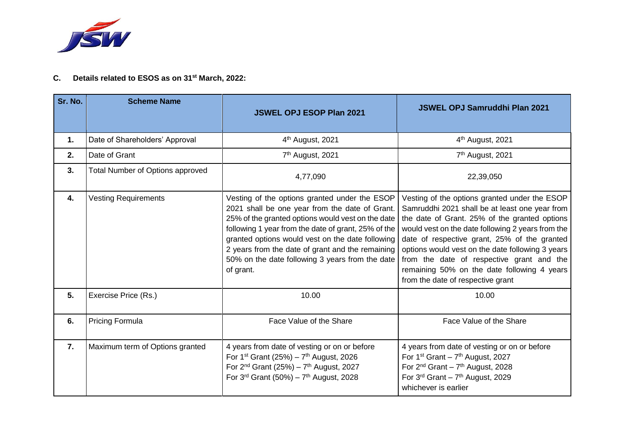

# **C. Details related to ESOS as on 31st March, 2022:**

| Sr. No. | <b>Scheme Name</b>               | <b>JSWEL OPJ ESOP Plan 2021</b>                                                                                                                                                                                                                                                                                                                                                     | <b>JSWEL OPJ Samruddhi Plan 2021</b>                                                                                                                                                                                                                                                                                                                                                                                                       |
|---------|----------------------------------|-------------------------------------------------------------------------------------------------------------------------------------------------------------------------------------------------------------------------------------------------------------------------------------------------------------------------------------------------------------------------------------|--------------------------------------------------------------------------------------------------------------------------------------------------------------------------------------------------------------------------------------------------------------------------------------------------------------------------------------------------------------------------------------------------------------------------------------------|
| 1.      | Date of Shareholders' Approval   | 4 <sup>th</sup> August, 2021                                                                                                                                                                                                                                                                                                                                                        | 4 <sup>th</sup> August, 2021                                                                                                                                                                                                                                                                                                                                                                                                               |
| 2.      | Date of Grant                    | 7 <sup>th</sup> August, 2021                                                                                                                                                                                                                                                                                                                                                        | 7 <sup>th</sup> August, 2021                                                                                                                                                                                                                                                                                                                                                                                                               |
| 3.      | Total Number of Options approved | 4,77,090                                                                                                                                                                                                                                                                                                                                                                            | 22,39,050                                                                                                                                                                                                                                                                                                                                                                                                                                  |
| 4.      | <b>Vesting Requirements</b>      | Vesting of the options granted under the ESOP<br>2021 shall be one year from the date of Grant.<br>25% of the granted options would vest on the date<br>following 1 year from the date of grant, 25% of the<br>granted options would vest on the date following<br>2 years from the date of grant and the remaining<br>50% on the date following 3 years from the date<br>of grant. | Vesting of the options granted under the ESOP<br>Samruddhi 2021 shall be at least one year from<br>the date of Grant. 25% of the granted options<br>would vest on the date following 2 years from the<br>date of respective grant, 25% of the granted<br>options would vest on the date following 3 years<br>from the date of respective grant and the<br>remaining 50% on the date following 4 years<br>from the date of respective grant |
| 5.      | Exercise Price (Rs.)             | 10.00                                                                                                                                                                                                                                                                                                                                                                               | 10.00                                                                                                                                                                                                                                                                                                                                                                                                                                      |
| 6.      | <b>Pricing Formula</b>           | Face Value of the Share                                                                                                                                                                                                                                                                                                                                                             | Face Value of the Share                                                                                                                                                                                                                                                                                                                                                                                                                    |
| 7.      | Maximum term of Options granted  | 4 years from date of vesting or on or before<br>For 1 <sup>st</sup> Grant (25%) – $7th$ August, 2026<br>For $2^{nd}$ Grant (25%) – $7^{th}$ August, 2027<br>For $3^{rd}$ Grant (50%) – $7^{th}$ August, 2028                                                                                                                                                                        | 4 years from date of vesting or on or before<br>For $1^{st}$ Grant - $7^{th}$ August, 2027<br>For $2^{nd}$ Grant - $7^{th}$ August, 2028<br>For $3rd$ Grant - $7th$ August, 2029<br>whichever is earlier                                                                                                                                                                                                                                   |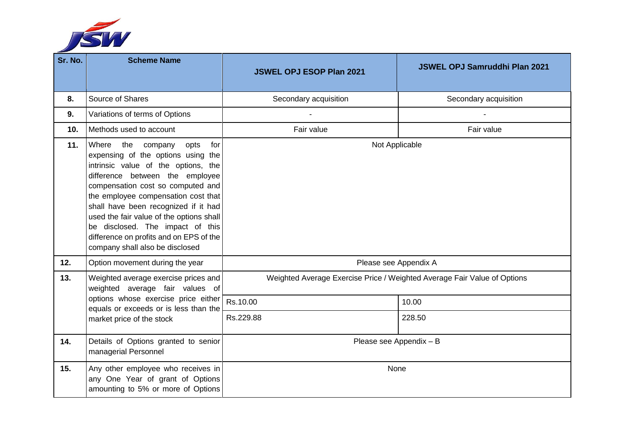

| Sr. No.        | <b>Scheme Name</b>                                                                                                                                                                                                                                                                                                                                                                                                                 | <b>JSWEL OPJ ESOP Plan 2021</b>                                          | <b>JSWEL OPJ Samruddhi Plan 2021</b> |
|----------------|------------------------------------------------------------------------------------------------------------------------------------------------------------------------------------------------------------------------------------------------------------------------------------------------------------------------------------------------------------------------------------------------------------------------------------|--------------------------------------------------------------------------|--------------------------------------|
| 8.             | Source of Shares                                                                                                                                                                                                                                                                                                                                                                                                                   | Secondary acquisition                                                    | Secondary acquisition                |
| 9 <sub>1</sub> | Variations of terms of Options                                                                                                                                                                                                                                                                                                                                                                                                     |                                                                          |                                      |
| 10.            | Methods used to account                                                                                                                                                                                                                                                                                                                                                                                                            | Fair value                                                               | Fair value                           |
| 11.            | Where the company<br>opts<br>for<br>expensing of the options using the<br>intrinsic value of the options, the<br>difference between the employee<br>compensation cost so computed and<br>the employee compensation cost that<br>shall have been recognized if it had<br>used the fair value of the options shall<br>be disclosed. The impact of this<br>difference on profits and on EPS of the<br>company shall also be disclosed | Not Applicable                                                           |                                      |
| 12.            | Option movement during the year                                                                                                                                                                                                                                                                                                                                                                                                    | Please see Appendix A                                                    |                                      |
| 13.            | Weighted average exercise prices and<br>weighted average fair values of                                                                                                                                                                                                                                                                                                                                                            | Weighted Average Exercise Price / Weighted Average Fair Value of Options |                                      |
|                | options whose exercise price either<br>equals or exceeds or is less than the<br>market price of the stock                                                                                                                                                                                                                                                                                                                          | Rs.10.00                                                                 | 10.00                                |
|                |                                                                                                                                                                                                                                                                                                                                                                                                                                    | Rs.229.88                                                                | 228.50                               |
| 14.            | Details of Options granted to senior<br>managerial Personnel                                                                                                                                                                                                                                                                                                                                                                       | Please see Appendix - B                                                  |                                      |
| 15.            | Any other employee who receives in<br>any One Year of grant of Options<br>amounting to 5% or more of Options                                                                                                                                                                                                                                                                                                                       |                                                                          | None                                 |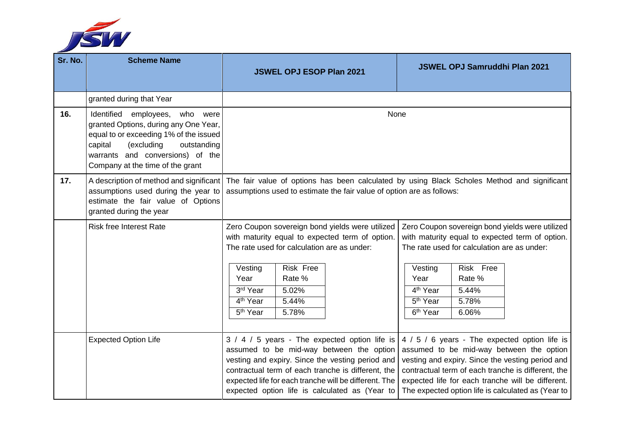

| Sr. No. | <b>Scheme Name</b>                                                                                                                                                                                                                | <b>JSWEL OPJ ESOP Plan 2021</b>                                                                                                                                                                                                                                                                                | <b>JSWEL OPJ Samruddhi Plan 2021</b>                                                                                                                                                                                                                                                                           |
|---------|-----------------------------------------------------------------------------------------------------------------------------------------------------------------------------------------------------------------------------------|----------------------------------------------------------------------------------------------------------------------------------------------------------------------------------------------------------------------------------------------------------------------------------------------------------------|----------------------------------------------------------------------------------------------------------------------------------------------------------------------------------------------------------------------------------------------------------------------------------------------------------------|
|         | granted during that Year                                                                                                                                                                                                          |                                                                                                                                                                                                                                                                                                                |                                                                                                                                                                                                                                                                                                                |
| 16.     | Identified employees, who were<br>granted Options, during any One Year,<br>equal to or exceeding 1% of the issued<br>(excluding<br>capital<br>outstanding<br>warrants and conversions) of the<br>Company at the time of the grant | None                                                                                                                                                                                                                                                                                                           |                                                                                                                                                                                                                                                                                                                |
| 17.     | assumptions used during the year to<br>estimate the fair value of Options<br>granted during the year                                                                                                                              | A description of method and significant   The fair value of options has been calculated by using Black Scholes Method and significant<br>assumptions used to estimate the fair value of option are as follows:                                                                                                 |                                                                                                                                                                                                                                                                                                                |
|         | <b>Risk free Interest Rate</b>                                                                                                                                                                                                    | Zero Coupon sovereign bond yields were utilized<br>with maturity equal to expected term of option.<br>The rate used for calculation are as under:<br>Risk Free<br>Vesting<br>Rate %<br>Year<br>3rd Year<br>5.02%<br>4 <sup>th</sup> Year<br>5.44%<br>5.78%<br>5 <sup>th</sup> Year                             | Zero Coupon sovereign bond yields were utilized<br>with maturity equal to expected term of option.<br>The rate used for calculation are as under:<br>Risk Free<br>Vesting<br>Rate %<br>Year<br>4 <sup>th</sup> Year<br>5.44%<br>5 <sup>th</sup> Year<br>5.78%<br>6 <sup>th</sup> Year<br>6.06%                 |
|         | <b>Expected Option Life</b>                                                                                                                                                                                                       | 3 / 4 / 5 years - The expected option life is<br>assumed to be mid-way between the option<br>vesting and expiry. Since the vesting period and<br>contractual term of each tranche is different, the<br>expected life for each tranche will be different. The<br>expected option life is calculated as (Year to | 4 / 5 / 6 years - The expected option life is<br>assumed to be mid-way between the option<br>vesting and expiry. Since the vesting period and<br>contractual term of each tranche is different, the<br>expected life for each tranche will be different.<br>The expected option life is calculated as (Year to |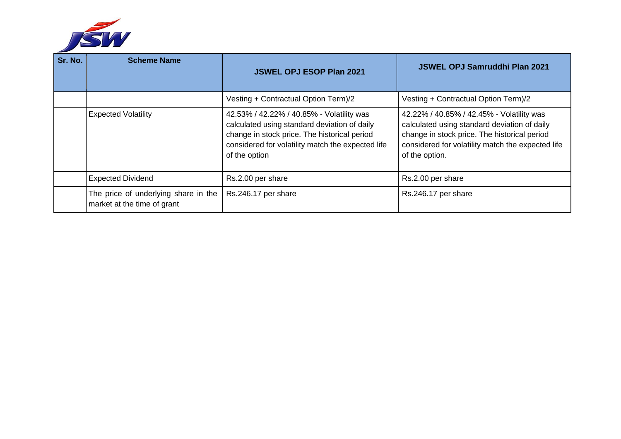

| Sr. No. | <b>Scheme Name</b>                                                  | <b>JSWEL OPJ ESOP Plan 2021</b>                                                                                                                                                                                 | <b>JSWEL OPJ Samruddhi Plan 2021</b>                                                                                                                                                                             |
|---------|---------------------------------------------------------------------|-----------------------------------------------------------------------------------------------------------------------------------------------------------------------------------------------------------------|------------------------------------------------------------------------------------------------------------------------------------------------------------------------------------------------------------------|
|         |                                                                     | Vesting + Contractual Option Term)/2                                                                                                                                                                            | Vesting + Contractual Option Term)/2                                                                                                                                                                             |
|         | <b>Expected Volatility</b>                                          | 42.53% / 42.22% / 40.85% - Volatility was<br>calculated using standard deviation of daily<br>change in stock price. The historical period<br>considered for volatility match the expected life<br>of the option | 42.22% / 40.85% / 42.45% - Volatility was<br>calculated using standard deviation of daily<br>change in stock price. The historical period<br>considered for volatility match the expected life<br>of the option. |
|         | <b>Expected Dividend</b>                                            | Rs.2.00 per share                                                                                                                                                                                               | Rs.2.00 per share                                                                                                                                                                                                |
|         | The price of underlying share in the<br>market at the time of grant | Rs.246.17 per share                                                                                                                                                                                             | Rs.246.17 per share                                                                                                                                                                                              |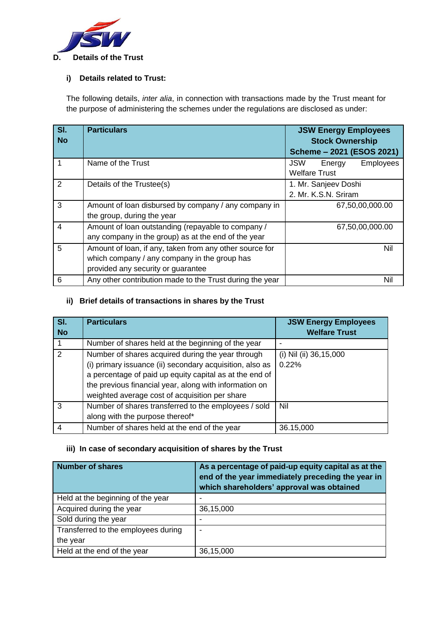

#### **i) Details related to Trust:**

The following details, *inter alia*, in connection with transactions made by the Trust meant for the purpose of administering the schemes under the regulations are disclosed as under:

| SI.<br><b>No</b> | <b>Particulars</b>                                                                                                                            | <b>JSW Energy Employees</b><br><b>Stock Ownership</b><br>Scheme - 2021 (ESOS 2021) |
|------------------|-----------------------------------------------------------------------------------------------------------------------------------------------|------------------------------------------------------------------------------------|
| $\overline{1}$   | Name of the Trust                                                                                                                             | <b>JSW</b><br><b>Employees</b><br>Energy<br><b>Welfare Trust</b>                   |
| $\overline{2}$   | Details of the Trustee(s)                                                                                                                     | 1. Mr. Sanjeev Doshi<br>2. Mr. K.S.N. Sriram                                       |
| 3                | Amount of loan disbursed by company / any company in<br>the group, during the year                                                            | 67,50,00,000.00                                                                    |
| $\overline{4}$   | Amount of loan outstanding (repayable to company /<br>any company in the group) as at the end of the year                                     | 67,50,00,000.00                                                                    |
| 5                | Amount of loan, if any, taken from any other source for<br>which company / any company in the group has<br>provided any security or guarantee | Nil                                                                                |
| 6                | Any other contribution made to the Trust during the year                                                                                      | Nil                                                                                |

# **ii) Brief details of transactions in shares by the Trust**

| SI.<br><b>No</b> | <b>Particulars</b>                                                                                                                                                                                                                                                                   | <b>JSW Energy Employees</b><br><b>Welfare Trust</b> |
|------------------|--------------------------------------------------------------------------------------------------------------------------------------------------------------------------------------------------------------------------------------------------------------------------------------|-----------------------------------------------------|
|                  | Number of shares held at the beginning of the year                                                                                                                                                                                                                                   |                                                     |
| 2                | Number of shares acquired during the year through<br>(i) primary issuance (ii) secondary acquisition, also as<br>a percentage of paid up equity capital as at the end of<br>the previous financial year, along with information on<br>weighted average cost of acquisition per share | (i) Nil (ii) 36,15,000<br>0.22%                     |
| 3                | Number of shares transferred to the employees / sold<br>along with the purpose thereof*                                                                                                                                                                                              | Nil                                                 |
| 4                | Number of shares held at the end of the year                                                                                                                                                                                                                                         | 36.15,000                                           |

#### **iii) In case of secondary acquisition of shares by the Trust**

| <b>Number of shares</b>             | As a percentage of paid-up equity capital as at the<br>end of the year immediately preceding the year in<br>which shareholders' approval was obtained |
|-------------------------------------|-------------------------------------------------------------------------------------------------------------------------------------------------------|
| Held at the beginning of the year   |                                                                                                                                                       |
| Acquired during the year            | 36,15,000                                                                                                                                             |
| Sold during the year                |                                                                                                                                                       |
| Transferred to the employees during |                                                                                                                                                       |
| the year                            |                                                                                                                                                       |
| Held at the end of the year         | 36,15,000                                                                                                                                             |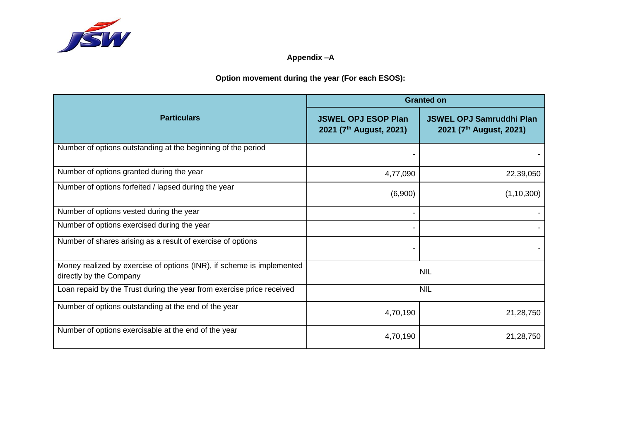

# **Appendix –A**

**Option movement during the year (For each ESOS):**

|                                                                                                  | <b>Granted on</b>                                                 |                                                                        |  |
|--------------------------------------------------------------------------------------------------|-------------------------------------------------------------------|------------------------------------------------------------------------|--|
| <b>Particulars</b>                                                                               | <b>JSWEL OPJ ESOP Plan</b><br>2021 (7 <sup>th</sup> August, 2021) | <b>JSWEL OPJ Samruddhi Plan</b><br>2021 (7 <sup>th</sup> August, 2021) |  |
| Number of options outstanding at the beginning of the period                                     |                                                                   |                                                                        |  |
| Number of options granted during the year                                                        | 4,77,090                                                          | 22,39,050                                                              |  |
| Number of options forfeited / lapsed during the year                                             | (6,900)                                                           | (1, 10, 300)                                                           |  |
| Number of options vested during the year                                                         |                                                                   |                                                                        |  |
| Number of options exercised during the year                                                      |                                                                   |                                                                        |  |
| Number of shares arising as a result of exercise of options                                      |                                                                   |                                                                        |  |
| Money realized by exercise of options (INR), if scheme is implemented<br>directly by the Company |                                                                   | <b>NIL</b>                                                             |  |
| Loan repaid by the Trust during the year from exercise price received                            |                                                                   | <b>NIL</b>                                                             |  |
| Number of options outstanding at the end of the year                                             | 4,70,190                                                          | 21,28,750                                                              |  |
| Number of options exercisable at the end of the year                                             | 4,70,190                                                          | 21,28,750                                                              |  |